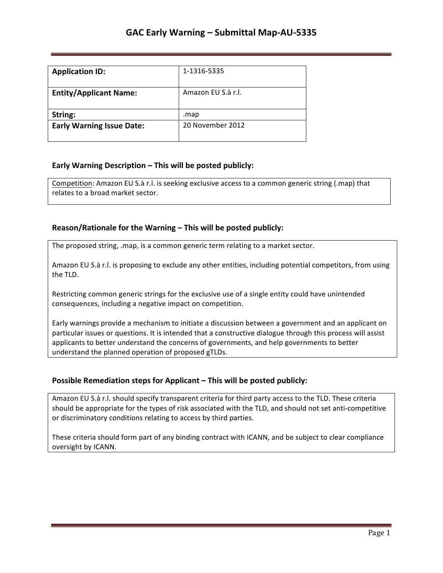| <b>Application ID:</b>           | 1-1316-5335        |
|----------------------------------|--------------------|
| <b>Entity/Applicant Name:</b>    | Amazon EU S.à r.l. |
| String:                          | .map               |
| <b>Early Warning Issue Date:</b> | 20 November 2012   |

## **Early Warning Description – This will be posted publicly:**

Competition: Amazon EU S.à r.l. is seeking exclusive access to a common generic string (.map) that relates to a broad market sector.

### **Reason/Rationale for the Warning – This will be posted publicly:**

The proposed string, .map, is a common generic term relating to a market sector.

Amazon EU S.à r.l. is proposing to exclude any other entities, including potential competitors, from using the TLD.

Restricting common generic strings for the exclusive use of a single entity could have unintended consequences, including a negative impact on competition.

Early warnings provide a mechanism to initiate a discussion between a government and an applicant on particular issues or questions. It is intended that a constructive dialogue through this process will assist applicants to better understand the concerns of governments, and help governments to better understand the planned operation of proposed gTLDs.

## **Possible Remediation steps for Applicant - This will be posted publicly:**

Amazon EU S.à r.l. should specify transparent criteria for third party access to the TLD. These criteria should be appropriate for the types of risk associated with the TLD, and should not set anti-competitive or discriminatory conditions relating to access by third parties.

These criteria should form part of any binding contract with ICANN, and be subject to clear compliance oversight by ICANN.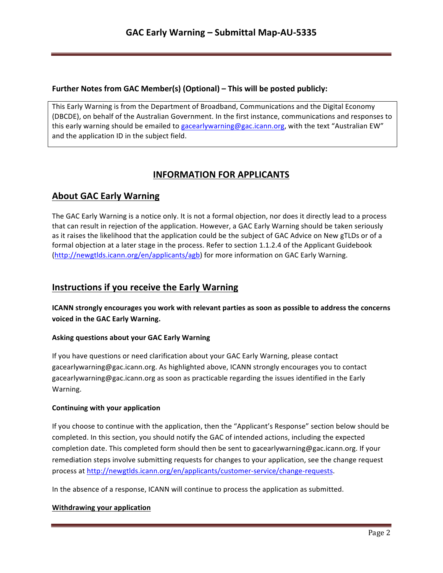## **Further Notes from GAC Member(s) (Optional) – This will be posted publicly:**

This Early Warning is from the Department of Broadband, Communications and the Digital Economy (DBCDE), on behalf of the Australian Government. In the first instance, communications and responses to this early warning should be emailed to gacearlywarning@gac.icann.org, with the text "Australian EW" and the application ID in the subject field.

# **INFORMATION FOR APPLICANTS**

# **About GAC Early Warning**

The GAC Early Warning is a notice only. It is not a formal objection, nor does it directly lead to a process that can result in rejection of the application. However, a GAC Early Warning should be taken seriously as it raises the likelihood that the application could be the subject of GAC Advice on New gTLDs or of a formal objection at a later stage in the process. Refer to section 1.1.2.4 of the Applicant Guidebook (http://newgtlds.icann.org/en/applicants/agb) for more information on GAC Early Warning.

## **Instructions if you receive the Early Warning**

**ICANN** strongly encourages you work with relevant parties as soon as possible to address the concerns voiced in the GAC Early Warning.

### **Asking questions about your GAC Early Warning**

If you have questions or need clarification about your GAC Early Warning, please contact gacearlywarning@gac.icann.org. As highlighted above, ICANN strongly encourages you to contact gacearlywarning@gac.icann.org as soon as practicable regarding the issues identified in the Early Warning. 

### **Continuing with your application**

If you choose to continue with the application, then the "Applicant's Response" section below should be completed. In this section, you should notify the GAC of intended actions, including the expected completion date. This completed form should then be sent to gacearlywarning@gac.icann.org. If your remediation steps involve submitting requests for changes to your application, see the change request process at http://newgtlds.icann.org/en/applicants/customer-service/change-requests.

In the absence of a response, ICANN will continue to process the application as submitted.

### **Withdrawing your application**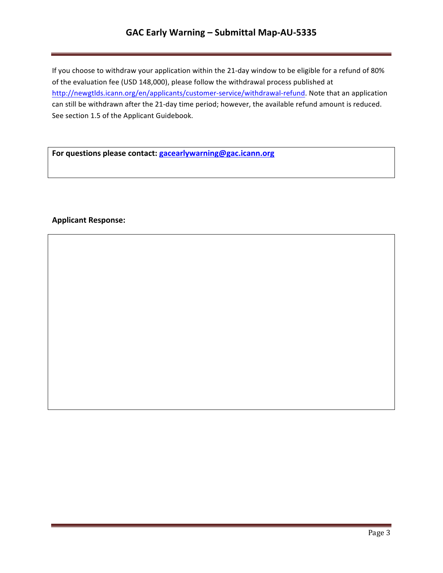# GAC Early Warning - Submittal Map-AU-5335

If you choose to withdraw your application within the 21-day window to be eligible for a refund of 80% of the evaluation fee (USD 148,000), please follow the withdrawal process published at http://newgtlds.icann.org/en/applicants/customer-service/withdrawal-refund. Note that an application can still be withdrawn after the 21-day time period; however, the available refund amount is reduced. See section 1.5 of the Applicant Guidebook.

For questions please contact: **gacearlywarning@gac.icann.org** 

### **Applicant Response:**